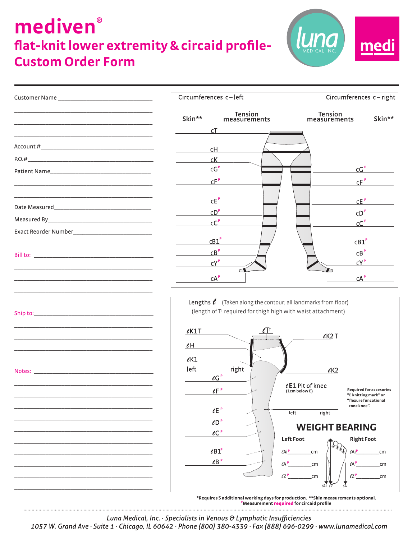## **mediven® flat-knit lower extremity & circaid profile-Custom Order Form**



**Skin\*\* Skin\*\* Tension measurements Tension measurements** Customer Name \_\_\_\_\_\_\_\_\_\_\_\_\_\_\_\_\_\_\_\_\_\_\_\_\_\_\_\_\_\_ \_\_\_\_\_\_\_\_\_\_\_\_\_\_\_\_\_\_\_\_\_\_\_\_\_\_\_\_\_\_\_\_\_\_\_\_\_\_\_\_\_\_\_\_ \_\_\_\_\_\_\_\_\_\_\_\_\_\_\_\_\_\_\_\_\_\_\_\_\_\_\_\_\_\_\_\_\_\_\_\_\_\_\_\_\_\_\_\_ \_\_\_\_\_\_\_\_\_\_\_\_\_\_\_\_\_\_\_\_\_\_\_\_\_\_\_\_\_\_\_\_\_\_\_\_\_\_\_\_\_\_\_\_ Account #\_\_\_\_\_\_\_\_\_\_\_\_\_\_\_\_\_\_\_\_\_\_\_\_\_\_\_\_\_\_\_\_\_\_\_\_  $P.O.#$ Patient Name \_\_\_\_\_\_\_\_\_\_\_\_\_\_\_\_\_\_\_\_\_\_\_\_\_\_\_\_\_\_\_\_\_\_\_\_\_\_\_\_\_\_\_\_ \_\_\_\_\_\_\_\_\_\_\_\_\_\_\_\_\_\_\_\_\_\_\_\_\_\_\_\_\_\_\_\_\_\_\_\_\_\_\_\_\_\_\_\_ Date Measured Measured By\_\_\_\_\_\_\_\_\_\_\_\_\_\_\_\_\_\_\_\_\_\_\_\_\_\_\_\_\_\_\_\_\_ Exact Reorder Number\_\_\_\_\_\_\_\_\_\_\_\_\_\_\_\_\_\_\_\_\_\_\_\_\_ Bill to: \_\_\_\_\_\_\_\_\_\_\_\_\_\_\_\_\_\_\_\_\_\_\_\_\_\_\_\_\_\_\_\_\_\_\_\_\_\_ \_\_\_\_\_\_\_\_\_\_\_\_\_\_\_\_\_\_\_\_\_\_\_\_\_\_\_\_\_\_\_\_\_\_\_\_\_\_\_\_\_\_\_\_ \_\_\_\_\_\_\_\_\_\_\_\_\_\_\_\_\_\_\_\_\_\_\_\_\_\_\_\_\_\_\_\_\_\_\_\_\_\_\_\_\_\_\_\_ \_\_\_\_\_\_\_\_\_\_\_\_\_\_\_\_\_\_\_\_\_\_\_\_\_\_\_\_\_\_\_\_\_\_\_\_\_\_\_\_\_\_\_\_ Ship to:\_\_\_\_\_\_\_\_\_\_\_\_\_\_\_\_\_\_\_\_\_\_\_\_\_\_\_\_\_\_\_\_\_\_\_\_\_\_ \_\_\_\_\_\_\_\_\_\_\_\_\_\_\_\_\_\_\_\_\_\_\_\_\_\_\_\_\_\_\_\_\_\_\_\_\_\_\_\_\_\_\_\_ \_\_\_\_\_\_\_\_\_\_\_\_\_\_\_\_\_\_\_\_\_\_\_\_\_\_\_\_\_\_\_\_\_\_\_\_\_\_\_\_\_\_\_\_ \_\_\_\_\_\_\_\_\_\_\_\_\_\_\_\_\_\_\_\_\_\_\_\_\_\_\_\_\_\_\_\_\_\_\_\_\_\_\_\_\_\_\_\_ Notes: \_\_\_\_\_\_\_\_\_\_\_\_\_\_\_\_\_\_\_\_\_\_\_\_\_\_\_\_\_\_\_\_\_\_\_\_\_\_

> \_\_\_\_\_\_\_\_\_\_\_\_\_\_\_\_\_\_\_\_\_\_\_\_\_\_\_\_\_\_\_\_\_\_\_\_\_\_\_\_\_\_\_\_ \_\_\_\_\_\_\_\_\_\_\_\_\_\_\_\_\_\_\_\_\_\_\_\_\_\_\_\_\_\_\_\_\_\_\_\_\_\_\_\_\_\_\_\_ \_\_\_\_\_\_\_\_\_\_\_\_\_\_\_\_\_\_\_\_\_\_\_\_\_\_\_\_\_\_\_\_\_\_\_\_\_\_\_\_\_\_\_\_ \_\_\_\_\_\_\_\_\_\_\_\_\_\_\_\_\_\_\_\_\_\_\_\_\_\_\_\_\_\_\_\_\_\_\_\_\_\_\_\_\_\_\_\_ \_\_\_\_\_\_\_\_\_\_\_\_\_\_\_\_\_\_\_\_\_\_\_\_\_\_\_\_\_\_\_\_\_\_\_\_\_\_\_\_\_\_\_\_ \_\_\_\_\_\_\_\_\_\_\_\_\_\_\_\_\_\_\_\_\_\_\_\_\_\_\_\_\_\_\_\_\_\_\_\_\_\_\_\_\_\_\_\_ \_\_\_\_\_\_\_\_\_\_\_\_\_\_\_\_\_\_\_\_\_\_\_\_\_\_\_\_\_\_\_\_\_\_\_\_\_\_\_\_\_\_\_\_ \_\_\_\_\_\_\_\_\_\_\_\_\_\_\_\_\_\_\_\_\_\_\_\_\_\_\_\_\_\_\_\_\_\_\_\_\_\_\_\_\_\_\_\_ \_\_\_\_\_\_\_\_\_\_\_\_\_\_\_\_\_\_\_\_\_\_\_\_\_\_\_\_\_\_\_\_\_\_\_\_\_\_\_\_\_\_\_\_ \_\_\_\_\_\_\_\_\_\_\_\_\_\_\_\_\_\_\_\_\_\_\_\_\_\_\_\_\_\_\_\_\_\_\_\_\_\_\_\_\_\_\_\_





1057 W. Grand Ave  $\cdot$  Suite 1  $\cdot$  Chicago, IL 60642  $\cdot$  Phone (800) 380-4339  $\cdot$  Fax (888) 696-0299  $\cdot$  www.lunamedical.com